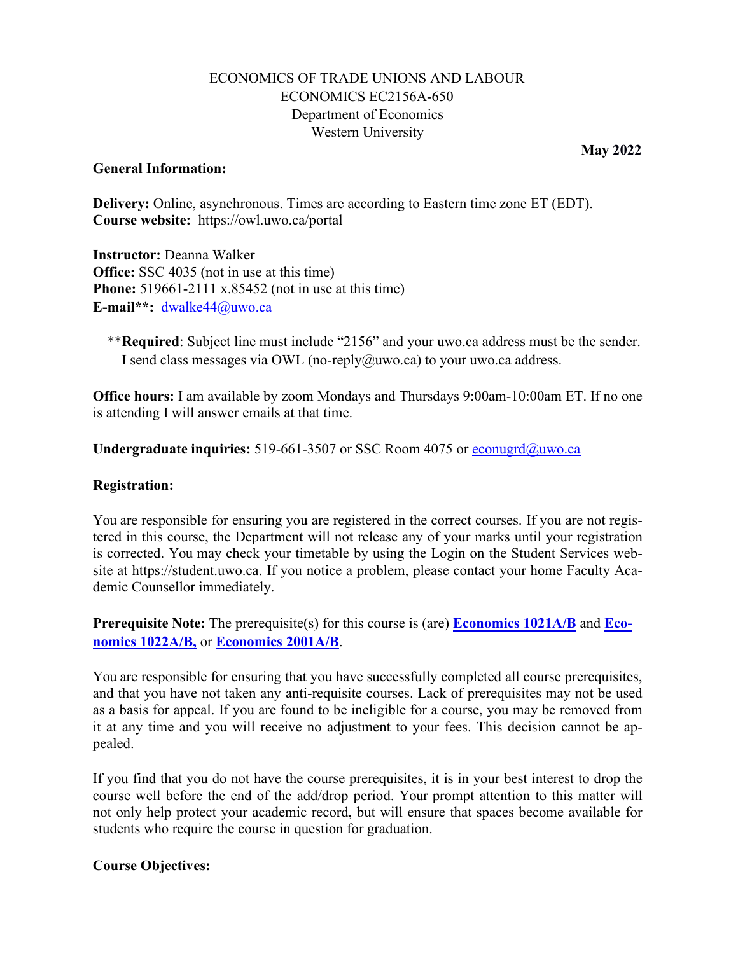## ECONOMICS OF TRADE UNIONS AND LABOUR ECONOMICS EC2156A-650 Department of Economics Western University

#### **General Information:**

**May 2022** 

 **Delivery:** Online, asynchronous. Times are according to Eastern time zone ET (EDT). **Course website:** <https://owl.uwo.ca/portal>

**Instructor:** Deanna Walker **Office:** SSC 4035 (not in use at this time) **Phone:** 519661-2111 x.85452 (not in use at this time) **E-mail\*\*:** [dwalke44@uwo.ca](mailto:dwalke44@uwo.ca) 

\*\***Required**: Subject line must include "2156" and your uwo.ca address must be the sender. I send class messages via OWL (no-reply $@uwo.ca)$  to your uwo.ca address.

**Office hours:** I am available by zoom Mondays and Thursdays 9:00am-10:00am ET. If no one is attending I will answer emails at that time.

**Undergraduate inquiries:** 519-661-3507 or SSC Room 4075 or [econugrd@uwo.ca](mailto:econugrd@uwo.ca) 

#### **Registration:**

 You are responsible for ensuring you are registered in the correct courses. If you are not registered in this course, the Department will not release any of your marks until your registration is corrected. You may check your timetable by using the Login on the Student Services website at [https://student.uwo.ca.](https://student.uwo.ca) If you notice a problem, please contact your home Faculty Academic Counsellor immediately.

 **Prerequisite Note:** The prerequisite(s) for this course is (are) **Economics 1021A/B** and **Economics 1022A/B,** or **Economics 2001A/B**.

 as a basis for appeal. If you are found to be ineligible for a course, you may be removed from You are responsible for ensuring that you have successfully completed all course prerequisites, and that you have not taken any anti-requisite courses. Lack of prerequisites may not be used it at any time and you will receive no adjustment to your fees. This decision cannot be appealed.

 course well before the end of the add/drop period. Your prompt attention to this matter will students who require the course in question for graduation. If you find that you do not have the course prerequisites, it is in your best interest to drop the not only help protect your academic record, but will ensure that spaces become available for

#### **Course Objectives:**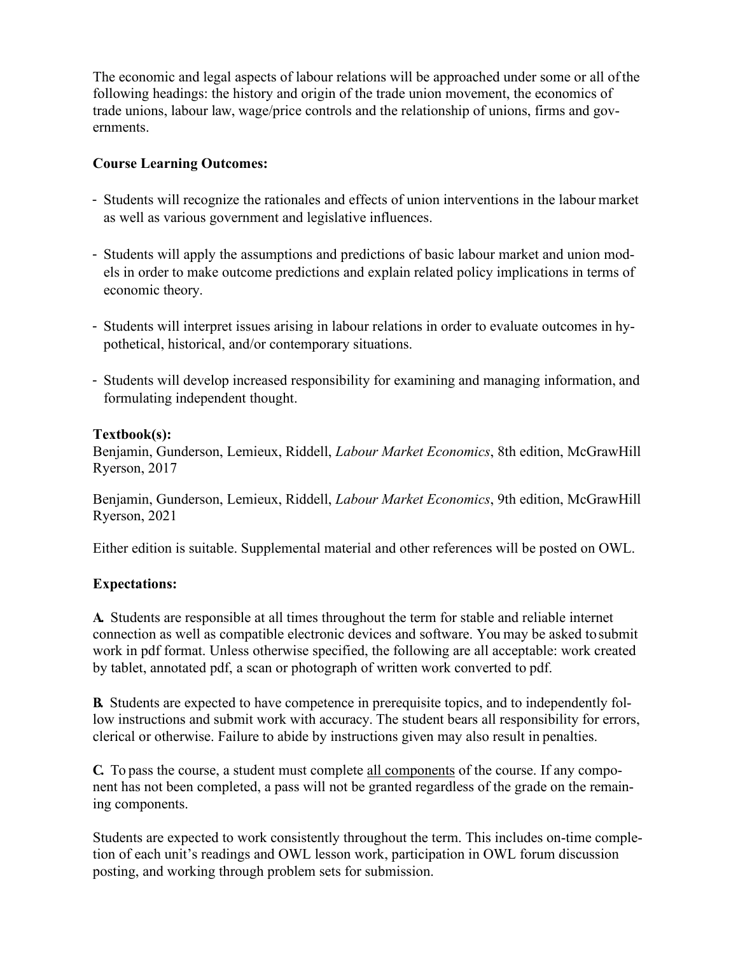The economic and legal aspects of labour relations will be approached under some or all of the following headings: the history and origin of the trade union movement, the economics of trade unions, labour law, wage/price controls and the relationship of unions, firms and governments.

### **Course Learning Outcomes:**

- as well as various government and legislative influences. - Students will recognize the rationales and effects of union interventions in the labour market
- economic theory. - Students will apply the assumptions and predictions of basic labour market and union models in order to make outcome predictions and explain related policy implications in terms of
- - Students will interpret issues arising in labour relations in order to evaluate outcomes in hy-pothetical, historical, and/or contemporary situations.
- formulating independent thought. - Students will develop increased responsibility for examining and managing information, and

## **Textbook(s):**

 Ryerson, 2017 Benjamin, Gunderson, Lemieux, Riddell, *Labour Market Economics*, 8th edition, McGrawHill

 Ryerson, 2021 Benjamin, Gunderson, Lemieux, Riddell, *Labour Market Economics*, 9th edition, McGrawHill

Either edition is suitable. Supplemental material and other references will be posted on OWL.

# **Expectations:**

 by tablet, annotated pdf, a scan or photograph of written work converted to pdf. **A.** Students are responsible at all times throughout the term for stable and reliable internet connection as well as compatible electronic devices and software. You may be asked tosubmit work in pdf format. Unless otherwise specified, the following are all acceptable: work created

 clerical or otherwise. Failure to abide by instructions given may also result in penalties. **B.** Students are expected to have competence in prerequisite topics, and to independently follow instructions and submit work with accuracy. The student bears all responsibility for errors,

 **C.** To pass the course, a student must complete all components of the course. If any compo- nent has not been completed, a pass will not be granted regardless of the grade on the remaining components.

Students are expected to work consistently throughout the term. This includes on-time completion of each unit's readings and OWL lesson work, participation in OWL forum discussion posting, and working through problem sets for submission.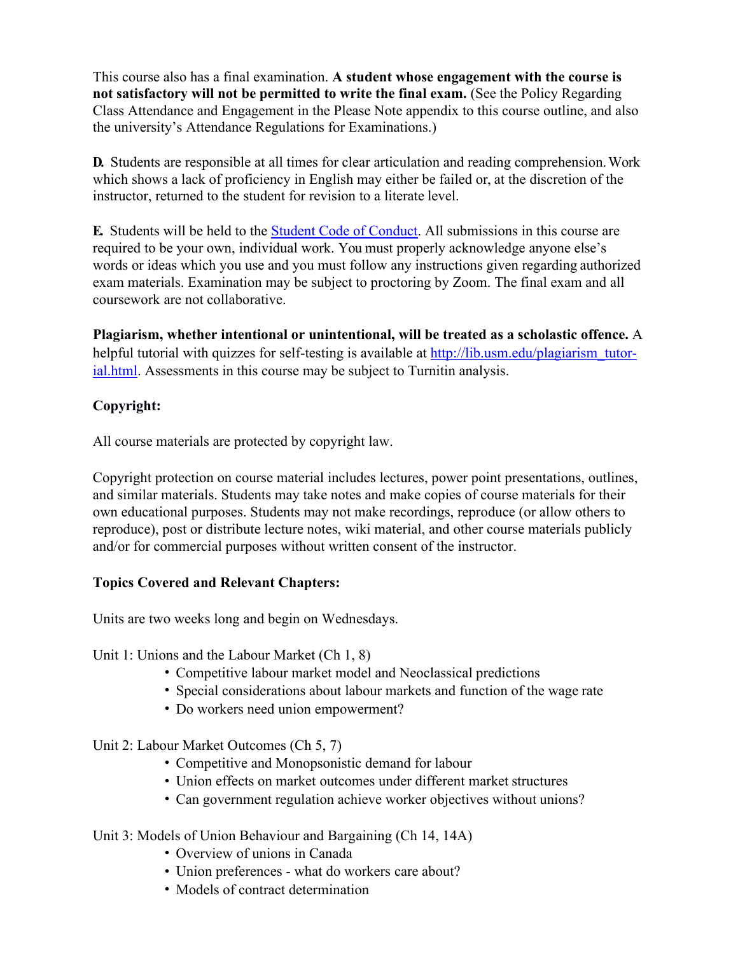This course also has a final examination. **A student whose engagement with the course is not satisfactory will not be permitted to write the final exam.** (See the Policy Regarding Class Attendance and Engagement in the Please Note appendix to this course outline, and also the university's Attendance Regulations for Examinations.)

 instructor, returned to the student for revision to a literate level. **D.** Students are responsible at all times for clear articulation and reading comprehension.Work which shows a lack of proficiency in English may either be failed or, at the discretion of the

 required to be your own, individual work. You must properly acknowledge anyone else's **E.** Students will be held to the Student Code of Conduct. All submissions in this course are words or ideas which you use and you must follow any instructions given regarding authorized exam materials. Examination may be subject to proctoring by Zoom. The final exam and all coursework are not collaborative.

**Plagiarism, whether intentional or unintentional, will be treated as a scholastic offence.** A helpful tutorial with quizzes for self-testing is available at http://lib.usm.edu/plagiarism\_tutor-ial.html. Assessments in this course may be subject to Turnitin analysis.

#### **Copyright:**

All course materials are protected by copyright law.

Copyright protection on course material includes lectures, power point presentations, outlines, and similar materials. Students may take notes and make copies of course materials for their own educational purposes. Students may not make recordings, reproduce (or allow others to reproduce), post or distribute lecture notes, wiki material, and other course materials publicly and/or for commercial purposes without written consent of the instructor.

# **Topics Covered and Relevant Chapters:**

Units are two weeks long and begin on Wednesdays.

Unit 1: Unions and the Labour Market (Ch 1, 8)

- Competitive labour market model and Neoclassical predictions
- Special considerations about labour markets and function of the wage rate
- Do workers need union empowerment?

Unit 2: Labour Market Outcomes (Ch 5, 7)

- Competitive and Monopsonistic demand for labour
- Union effects on market outcomes under different market structures
- Can government regulation achieve worker objectives without unions?

# Unit 3: Models of Union Behaviour and Bargaining (Ch 14, 14A)

- Overview of unions in Canada
- Union preferences what do workers care about?
- Models of contract determination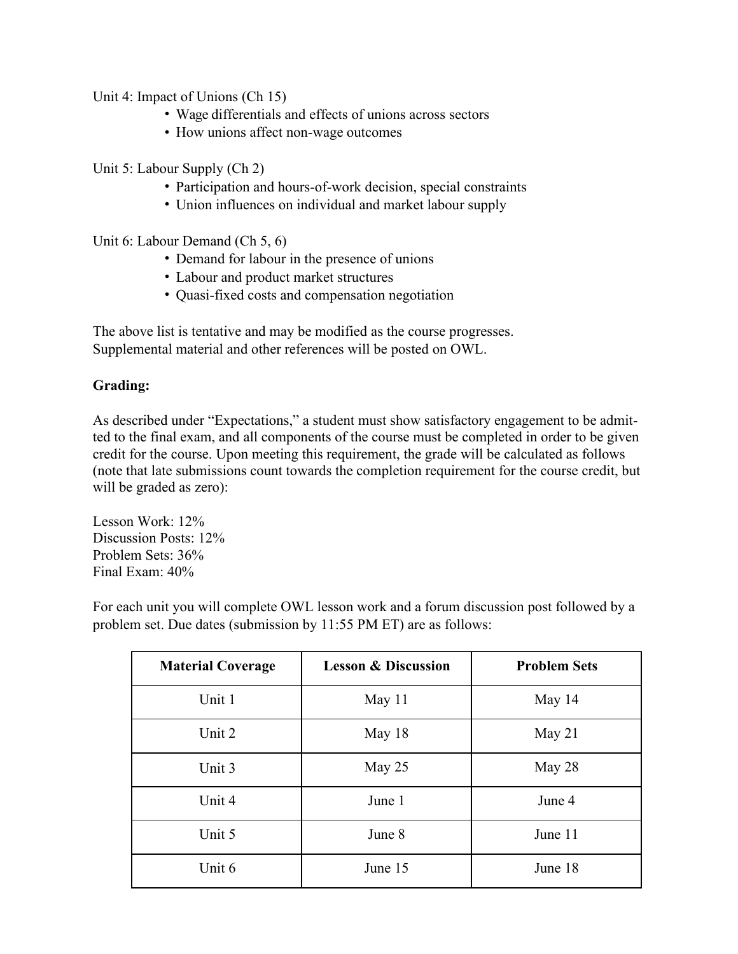Unit 4: Impact of Unions (Ch 15)

- Wage differentials and effects of unions across sectors
- How unions affect non-wage outcomes

Unit 5: Labour Supply (Ch 2)

- Participation and hours-of-work decision, special constraints
- Union influences on individual and market labour supply

Unit 6: Labour Demand (Ch 5, 6)

- Demand for labour in the presence of unions
- Labour and product market structures
- Quasi-fixed costs and compensation negotiation

The above list is tentative and may be modified as the course progresses. Supplemental material and other references will be posted on OWL.

#### **Grading:**

 (note that late submissions count towards the completion requirement for the course credit, but As described under "Expectations," a student must show satisfactory engagement to be admitted to the final exam, and all components of the course must be completed in order to be given credit for the course. Upon meeting this requirement, the grade will be calculated as follows will be graded as zero):

Lesson Work: 12% Discussion Posts: 12% Problem Sets: 36% Final Exam: 40%

| <b>Material Coverage</b> | <b>Lesson &amp; Discussion</b> | <b>Problem Sets</b> |
|--------------------------|--------------------------------|---------------------|
| Unit 1                   | May 11                         | May 14              |
| Unit 2                   | May 18                         | May $21$            |
| Unit 3                   | May $25$                       | May 28              |
| Unit 4                   | June 1                         | June 4              |
| Unit 5                   | June 8                         | June 11             |
| Unit 6                   | June 15                        | June 18             |

For each unit you will complete OWL lesson work and a forum discussion post followed by a problem set. Due dates (submission by 11:55 PM ET) are as follows: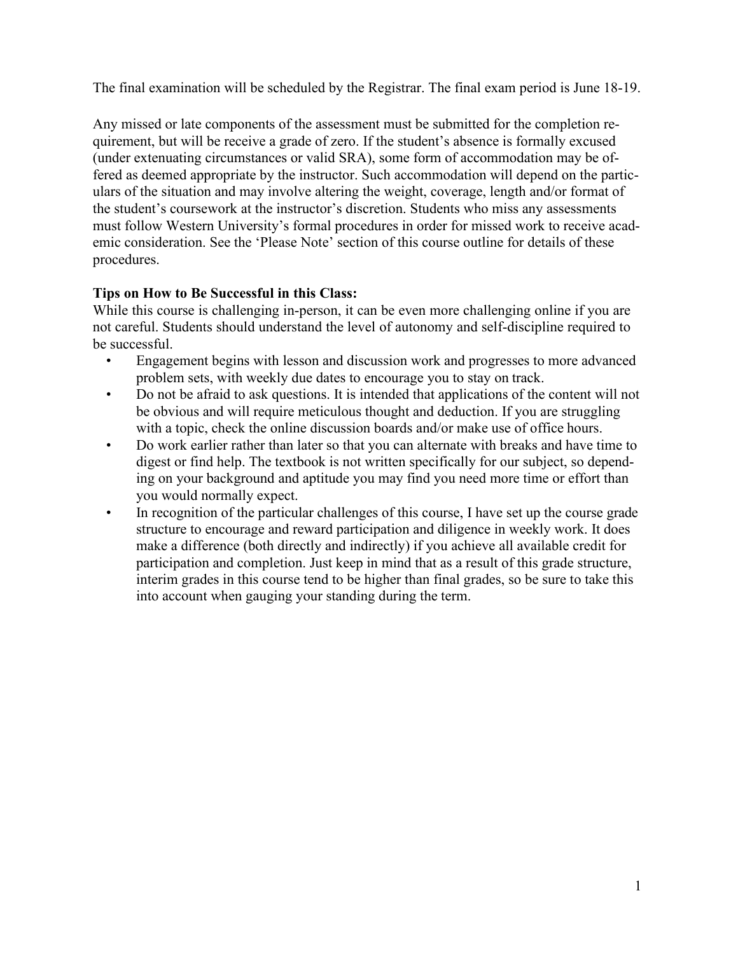The final examination will be scheduled by the Registrar. The final exam period is June 18-19.

 (under extenuating circumstances or valid SRA), some form of accommodation may be of-Any missed or late components of the assessment must be submitted for the completion requirement, but will be receive a grade of zero. If the student's absence is formally excused fered as deemed appropriate by the instructor. Such accommodation will depend on the particulars of the situation and may involve altering the weight, coverage, length and/or format of the student's coursework at the instructor's discretion. Students who miss any assessments must follow Western University's formal procedures in order for missed work to receive academic consideration. See the 'Please Note' section of this course outline for details of these procedures.

## **Tips on How to Be Successful in this Class:**

While this course is challenging in-person, it can be even more challenging online if you are not careful. Students should understand the level of autonomy and self-discipline required to be successful.

- problem sets, with weekly due dates to encourage you to stay on track. • Engagement begins with lesson and discussion work and progresses to more advanced
- with a topic, check the online discussion boards and/or make use of office hours. • Do not be afraid to ask questions. It is intended that applications of the content will not be obvious and will require meticulous thought and deduction. If you are struggling
- you would normally expect. • Do work earlier rather than later so that you can alternate with breaks and have time to digest or find help. The textbook is not written specifically for our subject, so depending on your background and aptitude you may find you need more time or effort than
- into account when gauging your standing during the term. • In recognition of the particular challenges of this course, I have set up the course grade structure to encourage and reward participation and diligence in weekly work. It does make a difference (both directly and indirectly) if you achieve all available credit for participation and completion. Just keep in mind that as a result of this grade structure, interim grades in this course tend to be higher than final grades, so be sure to take this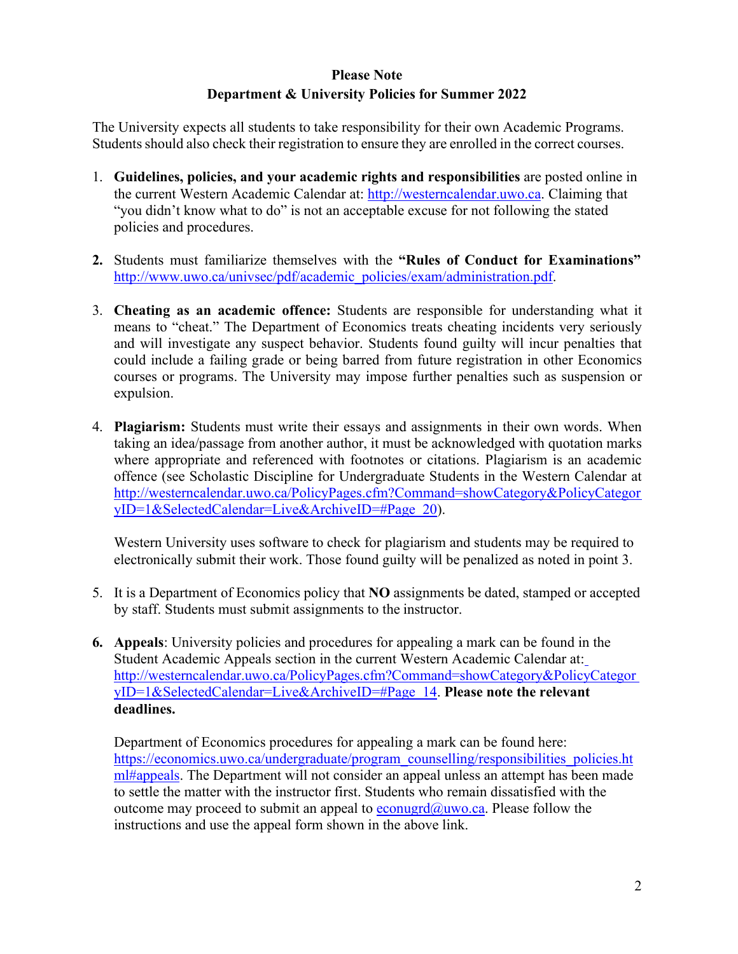# **Please Note Department & University Policies for Summer 2022**

 Students should also check their registration to ensure they are enrolled in the correct courses. The University expects all students to take responsibility for their own Academic Programs.

- policies and procedures. 1. **Guidelines, policies, and your academic rights and responsibilities** are posted online in the current Western Academic Calendar at: [http://westerncalendar.uwo.ca.](http://westerncalendar.uwo.ca/) Claiming that "you didn't know what to do" is not an acceptable excuse for not following the stated
- **2.** Students must familiarize themselves with the **"Rules of Conduct for Examinations"**  [http://www.uwo.ca/univsec/pdf/academic\\_policies/exam/administration.pdf.](http://www.uwo.ca/univsec/pdf/academic_policies/exam/administration.pdf)
- 3. **Cheating as an academic offence:** Students are responsible for understanding what it means to "cheat." The Department of Economics treats cheating incidents very seriously and will investigate any suspect behavior. Students found guilty will incur penalties that could include a failing grade or being barred from future registration in other Economics courses or programs. The University may impose further penalties such as suspension or expulsion.
- 4. **Plagiarism:** Students must write their essays and assignments in their own words. When taking an idea/passage from another author, it must be acknowledged with quotation marks where appropriate and referenced with footnotes or citations. Plagiarism is an academic offence (see Scholastic Discipline for Undergraduate Students in the Western Calendar at [http://westerncalendar.uwo.ca/PolicyPages.cfm?Command=showCategory&PolicyCategor](http://westerncalendar.uwo.ca/PolicyPages.cfm?Command=showCategory&PolicyCategoryID=1&SelectedCalendar=Live&ArchiveID&Page_20)  [yID=1&SelectedCalendar=Live&ArchiveID=#Page\\_20\)](http://westerncalendar.uwo.ca/PolicyPages.cfm?Command=showCategory&PolicyCategoryID=1&SelectedCalendar=Live&ArchiveID&Page_20).

Western University uses software to check for plagiarism and students may be required to electronically submit their work. Those found guilty will be penalized as noted in point 3.

- 5. It is a Department of Economics policy that **NO** assignments be dated, stamped or accepted by staff. Students must submit assignments to the instructor.
- **6. Appeals**: University policies and procedures for appealing a mark can be found in the Student Academic Appeals section in the current Western Academic Calendar at: [http://westerncalendar.uwo.ca/PolicyPages.cfm?Command=showCategory&PolicyCategor](http://westerncalendar.uwo.ca/PolicyPages.cfm?Command=showCategory&PolicyCategoryID=1&SelectedCalendar=Live&ArchiveID&Page_14)  [yID=1&SelectedCalendar=Live&ArchiveID=#Page\\_14.](http://westerncalendar.uwo.ca/PolicyPages.cfm?Command=showCategory&PolicyCategoryID=1&SelectedCalendar=Live&ArchiveID&Page_14) **Please note the relevant deadlines.**

 instructions and use the appeal form shown in the above link. Department of Economics procedures for appealing a mark can be found here: https://economics.uwo.ca/undergraduate/program\_counselling/responsibilities\_policies.ht [ml#appeals. T](https://economics.uwo.ca/undergraduate/program_counselling/responsibilities_policies.html#appeals)he Department will not consider an appeal unless an attempt has been made to settle the matter with the instructor first. Students who remain dissatisfied with the outcome may proceed to submit an appeal to  $e_{\text{conugrd}}(\hat{a}_{\text{uwo.ca.}})$  Please follow the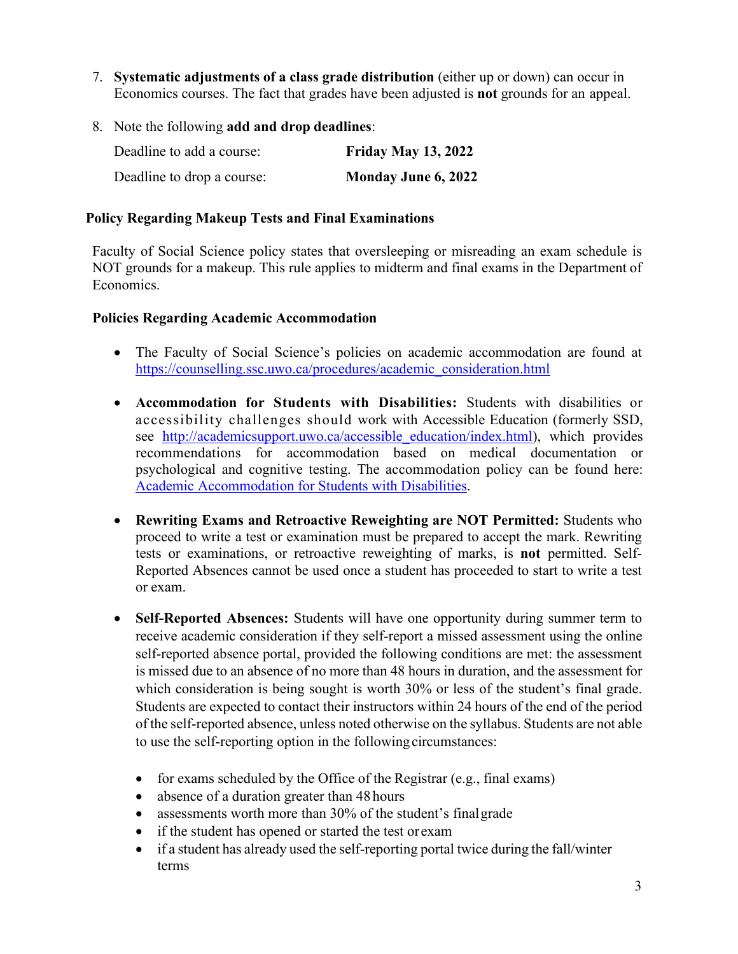- Economics courses. The fact that grades have been adjusted is **not** grounds for an appeal. 7. **Systematic adjustments of a class grade distribution** (either up or down) can occur in
- 8. Note the following **add and drop deadlines**:

| Deadline to add a course:  | <b>Friday May 13, 2022</b> |
|----------------------------|----------------------------|
| Deadline to drop a course: | Monday June 6, 2022        |

#### **Policy Regarding Makeup Tests and Final Examinations**

Faculty of Social Science policy states that oversleeping or misreading an exam schedule is NOT grounds for a makeup. This rule applies to midterm and final exams in the Department of Economics.

#### **Policies Regarding Academic Accommodation**

- The Faculty of Social Science's policies on academic accommodation are found at [https://counselling.ssc.uwo.ca/procedures/academic\\_consideration.html](https://counselling.ssc.uwo.ca/procedures/academic_consideration.html)
- **Accommodation for Students with Disabilities:** Students with disabilities or accessibility challenges should work with Accessible Education (formerly SSD, see http://academicsupport.uwo.ca/accessible education/index.html), which provides recommendations for accommodation based on medical documentation or psychological and cognitive testing. The accommodation policy can be found here[:](https://www.uwo.ca/univsec/pdf/academic_policies/appeals/Academic%20Accommodation_disabilities.pdf)  [Academic Accommodation for Students with Disabilities.](https://www.uwo.ca/univsec/pdf/academic_policies/appeals/Academic%20Accommodation_disabilities.pdf)
- or exam. • **Rewriting Exams and Retroactive Reweighting are NOT Permitted:** Students who proceed to write a test or examination must be prepared to accept the mark. Rewriting tests or examinations, or retroactive reweighting of marks, is **not** permitted. Self-Reported Absences cannot be used once a student has proceeded to start to write a test
- is missed due to an absence of no more than 48 hours in duration, and the assessment for Students are expected to contact their instructors within 24 hours of the end of the period of the self-reported absence, unless noted otherwise on the syllabus. Students are not able to use the self-reporting option in the followingcircumstances: • **Self-Reported Absences:** Students will have one opportunity during summer term to receive academic consideration if they self-report a missed assessment using the online self-reported absence portal, provided the following conditions are met: the assessment which consideration is being sought is worth 30% or less of the student's final grade.
	- for exams scheduled by the Office of the Registrar (e.g., final exams)
	- absence of a duration greater than 48 hours
	- assessments worth more than 30% of the student's final grade
	- if the student has opened or started the test orexam
	- • if a student has already used the self-reporting portal twice during the fall/winter terms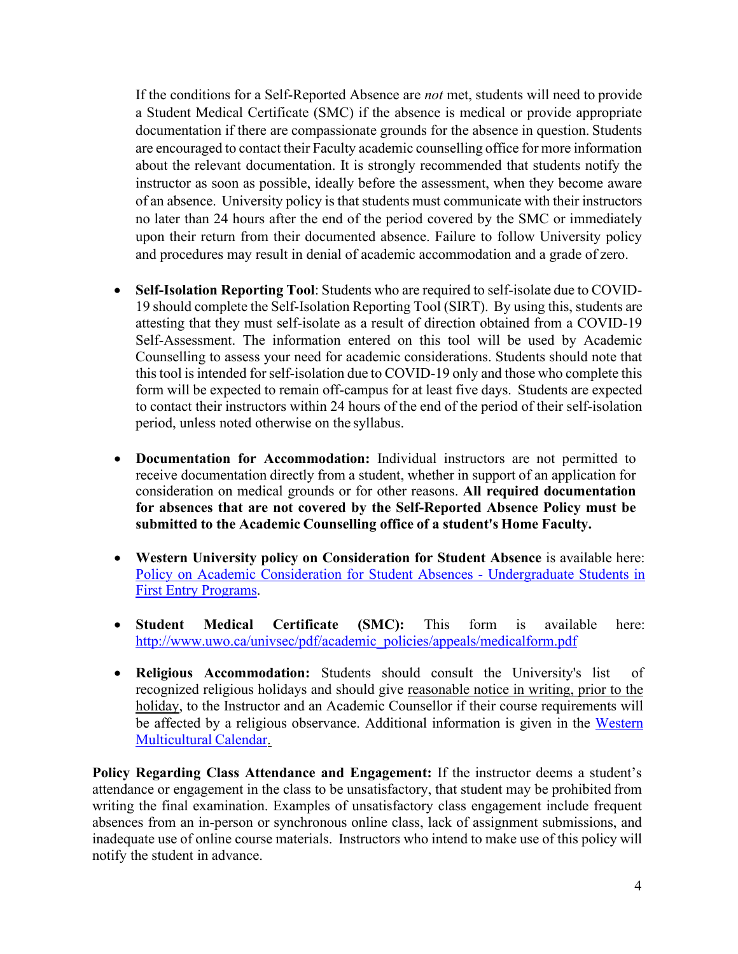If the conditions for a Self-Reported Absence are *not* met, students will need to provide documentation if there are compassionate grounds for the absence in question. Students are encouraged to contact their Faculty academic counselling office for more information instructor as soon as possible, ideally before the assessment, when they become aware of an absence. University policy is that students must communicate with their instructors and procedures may result in denial of academic accommodation and a grade of zero. a Student Medical Certificate (SMC) if the absence is medical or provide appropriate about the relevant documentation. It is strongly recommended that students notify the no later than 24 hours after the end of the period covered by the SMC or immediately upon their return from their documented absence. Failure to follow University policy

- **Self-Isolation Reporting Tool**: Students who are required to self-isolate due to COVID- 19 should complete the Self-Isolation Reporting Tool (SIRT). By using this, students are this tool is intended for self-isolation due to COVID-19 only and those who complete this form will be expected to remain off-campus for at least five days. Students are expected to contact their instructors within 24 hours of the end of the period of their self-isolation period, unless noted otherwise on the syllabus. attesting that they must self-isolate as a result of direction obtained from a COVID-19 Self-Assessment. The information entered on this tool will be used by Academic Counselling to assess your need for academic considerations. Students should note that
- receive documentation directly from a student, whether in support of an application for  **submitted to the Academic Counselling office of a student's Home Faculty.**  • **Documentation for Accommodation:** Individual instructors are not permitted to consideration on medical grounds or for other reasons. **All required documentation for absences that are not covered by the Self-Reported Absence Policy must be**
- [Policy on Academic Consideration for Student Absences -](https://www.uwo.ca/univsec/pdf/academic_policies/appeals/accommodation_illness.pdf) Undergraduate Students i[n](https://www.uwo.ca/univsec/pdf/academic_policies/appeals/accommodation_illness.pdf)  • **Western University policy on Consideration for Student Absence** is available here[:](https://www.uwo.ca/univsec/pdf/academic_policies/appeals/accommodation_illness.pdf)  [First Entry Programs.](https://www.uwo.ca/univsec/pdf/academic_policies/appeals/accommodation_illness.pdf)
- **Student Medical Certificate (SMC):** This form is available here[:](http://www.uwo.ca/univsec/pdf/academic_policies/appeals/medicalform.pdf)  [http://www.uwo.ca/univsec/pdf/academic\\_policies/appeals/medicalform.pdf](http://www.uwo.ca/univsec/pdf/academic_policies/appeals/medicalform.pdf)
- be affected by a religious observance. Additional information is given in the Western • **Religious Accommodation:** Students should consult the University's list of recognized religious holidays and should give reasonable notice in writing, prior to the holiday, to the Instructor and an Academic Counsellor if their course requirements will [Multicultural Calendar.](https://multiculturalcalendar.com/ecal/index.php?s=c-univwo)

 **Policy Regarding Class Attendance and Engagement:** If the instructor deems a student's inadequate use of online course materials. Instructors who intend to make use of this policy will notify the student in advance. attendance or engagement in the class to be unsatisfactory, that student may be prohibited from writing the final examination. Examples of unsatisfactory class engagement include frequent absences from an in-person or synchronous online class, lack of assignment submissions, and